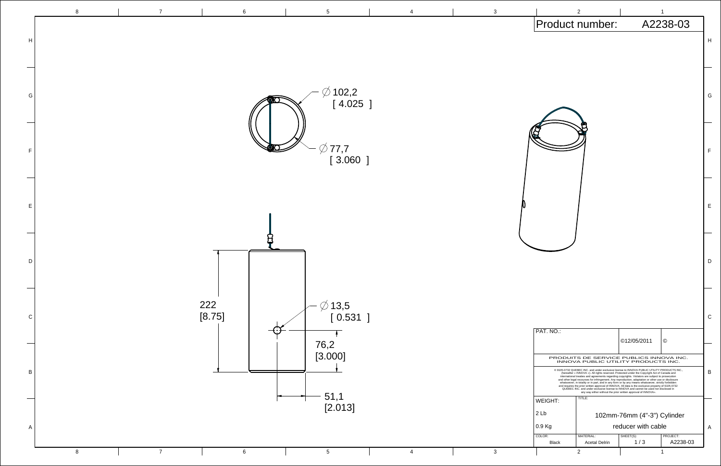

|  |                                                                                                                                                                                                                                                                                                                                                                                                                                                                                                                                                                                                                                                                                                                                                                              | $\overline{2}$                                                                 |                                             | 1        |   |
|--|------------------------------------------------------------------------------------------------------------------------------------------------------------------------------------------------------------------------------------------------------------------------------------------------------------------------------------------------------------------------------------------------------------------------------------------------------------------------------------------------------------------------------------------------------------------------------------------------------------------------------------------------------------------------------------------------------------------------------------------------------------------------------|--------------------------------------------------------------------------------|---------------------------------------------|----------|---|
|  |                                                                                                                                                                                                                                                                                                                                                                                                                                                                                                                                                                                                                                                                                                                                                                              | Product number:                                                                |                                             | A2238-03 |   |
|  |                                                                                                                                                                                                                                                                                                                                                                                                                                                                                                                                                                                                                                                                                                                                                                              |                                                                                |                                             |          | H |
|  |                                                                                                                                                                                                                                                                                                                                                                                                                                                                                                                                                                                                                                                                                                                                                                              |                                                                                |                                             |          |   |
|  |                                                                                                                                                                                                                                                                                                                                                                                                                                                                                                                                                                                                                                                                                                                                                                              |                                                                                |                                             |          |   |
|  |                                                                                                                                                                                                                                                                                                                                                                                                                                                                                                                                                                                                                                                                                                                                                                              |                                                                                |                                             |          | G |
|  |                                                                                                                                                                                                                                                                                                                                                                                                                                                                                                                                                                                                                                                                                                                                                                              |                                                                                |                                             |          |   |
|  |                                                                                                                                                                                                                                                                                                                                                                                                                                                                                                                                                                                                                                                                                                                                                                              |                                                                                |                                             |          |   |
|  |                                                                                                                                                                                                                                                                                                                                                                                                                                                                                                                                                                                                                                                                                                                                                                              |                                                                                |                                             |          |   |
|  |                                                                                                                                                                                                                                                                                                                                                                                                                                                                                                                                                                                                                                                                                                                                                                              |                                                                                |                                             |          | F |
|  |                                                                                                                                                                                                                                                                                                                                                                                                                                                                                                                                                                                                                                                                                                                                                                              |                                                                                |                                             |          |   |
|  |                                                                                                                                                                                                                                                                                                                                                                                                                                                                                                                                                                                                                                                                                                                                                                              |                                                                                |                                             |          |   |
|  |                                                                                                                                                                                                                                                                                                                                                                                                                                                                                                                                                                                                                                                                                                                                                                              |                                                                                |                                             |          |   |
|  |                                                                                                                                                                                                                                                                                                                                                                                                                                                                                                                                                                                                                                                                                                                                                                              |                                                                                |                                             |          |   |
|  |                                                                                                                                                                                                                                                                                                                                                                                                                                                                                                                                                                                                                                                                                                                                                                              |                                                                                |                                             |          |   |
|  |                                                                                                                                                                                                                                                                                                                                                                                                                                                                                                                                                                                                                                                                                                                                                                              |                                                                                |                                             |          |   |
|  |                                                                                                                                                                                                                                                                                                                                                                                                                                                                                                                                                                                                                                                                                                                                                                              |                                                                                |                                             |          |   |
|  |                                                                                                                                                                                                                                                                                                                                                                                                                                                                                                                                                                                                                                                                                                                                                                              |                                                                                |                                             |          |   |
|  |                                                                                                                                                                                                                                                                                                                                                                                                                                                                                                                                                                                                                                                                                                                                                                              |                                                                                |                                             |          | С |
|  | PAT. NO.:                                                                                                                                                                                                                                                                                                                                                                                                                                                                                                                                                                                                                                                                                                                                                                    |                                                                                |                                             |          |   |
|  |                                                                                                                                                                                                                                                                                                                                                                                                                                                                                                                                                                                                                                                                                                                                                                              |                                                                                | ©12/05/2011                                 | ◎        |   |
|  |                                                                                                                                                                                                                                                                                                                                                                                                                                                                                                                                                                                                                                                                                                                                                                              | PRODUITS DE SERVICE PUBLICS INNOVA INC.<br>INNOVA PUBLIC UTILITY PRODUCTS INC. |                                             |          |   |
|  | @ 9105-0732 QUEBEC INC. and under exclusive license to INNOVA PUBLIC UTILITY PRODUCTS INC.,<br>(hereafter « INNOVA »). All rights reserved. Protected under the Copyright Act of Canada and<br>international treaties and agreements regarding copyrights. Violators are subject to prosecution<br>and other legal recourses for infringement. Any reproduction, adaptation or other use or disclosure<br>whatsoever, in totality or in part, and in any form or by any means whatsoever, strictly forbidden<br>and requires the prior written approval of INNOVA. All data is the exclusive property of 9105-0732<br>QUEBEC INC. and under exclusive license to INNOVA and cannot be used nor disclosed in<br>any way either without the prior written approval of INNOVA». |                                                                                |                                             |          | B |
|  | TITLE:<br><b>WEIGHT:</b>                                                                                                                                                                                                                                                                                                                                                                                                                                                                                                                                                                                                                                                                                                                                                     |                                                                                |                                             |          |   |
|  | 2Lb                                                                                                                                                                                                                                                                                                                                                                                                                                                                                                                                                                                                                                                                                                                                                                          | 102mm-76mm (4"-3") Cylinder                                                    |                                             |          |   |
|  | 0.9 Kg<br>COLOR:                                                                                                                                                                                                                                                                                                                                                                                                                                                                                                                                                                                                                                                                                                                                                             | MATERIAL:                                                                      | reducer with cable<br>SHEET(S):<br>PROJECT: |          | A |
|  | <b>Black</b>                                                                                                                                                                                                                                                                                                                                                                                                                                                                                                                                                                                                                                                                                                                                                                 | <b>Acetal Delrin</b>                                                           | 1/3                                         | A2238-03 |   |
|  |                                                                                                                                                                                                                                                                                                                                                                                                                                                                                                                                                                                                                                                                                                                                                                              | $\overline{2}$                                                                 |                                             | 1        |   |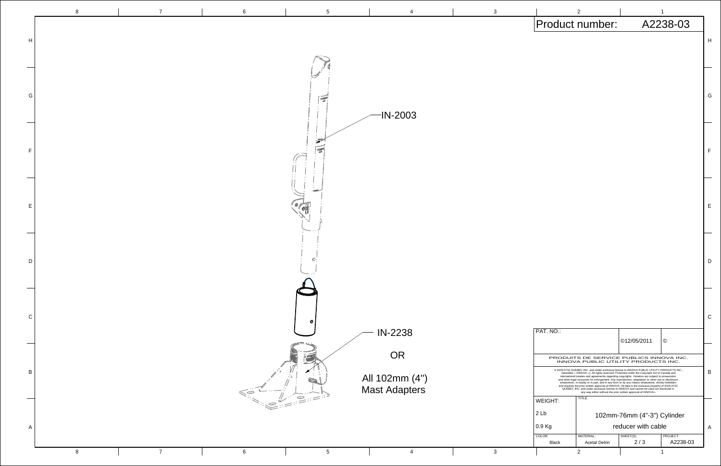![](_page_1_Figure_0.jpeg)

![](_page_1_Figure_1.jpeg)